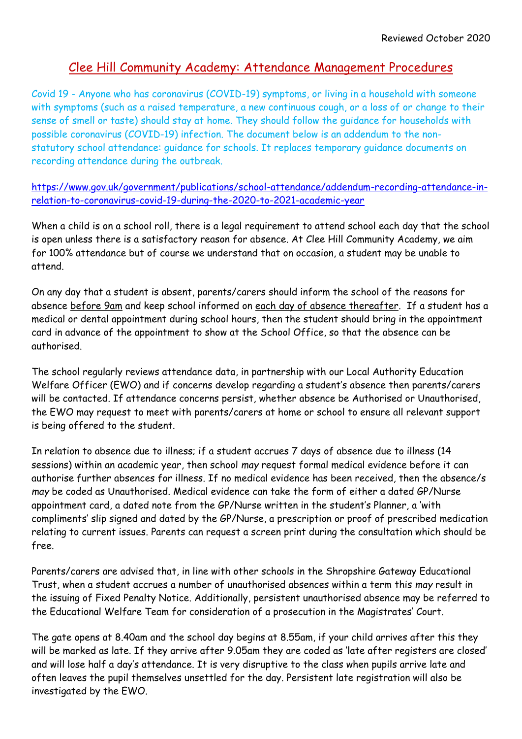## Clee Hill Community Academy: Attendance Management Procedures

Covid 19 - Anyone who has coronavirus (COVID-19) symptoms, or living in a household with someone with symptoms (such as a raised temperature, a new continuous cough, or a loss of or change to their sense of smell or taste) should stay at home. They should follow the guidance for [households](https://www.gov.uk/government/publications/covid-19-stay-at-home-guidance) with possible coronavirus [\(COVID-19\)](https://www.gov.uk/government/publications/covid-19-stay-at-home-guidance) infection. The document below is an addendum to the nonstatutory school [attendance:](https://www.gov.uk/government/publications/school-attendance) guidance for schools. It replaces temporary guidance documents on recording attendance during the outbreak.

[https://www.gov.uk/government/publications/school-attendance/addendum-recording-attendance-in](https://www.gov.uk/government/publications/school-attendance/addendum-recording-attendance-in-relation-to-coronavirus-covid-19-during-the-2020-to-2021-academic-year)[relation-to-coronavirus-covid-19-during-the-2020-to-2021-academic-year](https://www.gov.uk/government/publications/school-attendance/addendum-recording-attendance-in-relation-to-coronavirus-covid-19-during-the-2020-to-2021-academic-year)

When a child is on a school roll, there is a legal requirement to attend school each day that the school is open unless there is a satisfactory reason for absence. At Clee Hill Community Academy, we aim for 100% attendance but of course we understand that on occasion, a student may be unable to attend.

On any day that a student is absent, parents/carers should inform the school of the reasons for absence before 9am and keep school informed on each day of absence thereafter. If a student has a medical or dental appointment during school hours, then the student should bring in the appointment card in advance of the appointment to show at the School Office, so that the absence can be authorised.

The school regularly reviews attendance data, in partnership with our Local Authority Education Welfare Officer (EWO) and if concerns develop regarding a student's absence then parents/carers will be contacted. If attendance concerns persist, whether absence be Authorised or Unauthorised, the EWO may request to meet with parents/carers at home or school to ensure all relevant support is being offered to the student.

In relation to absence due to illness; if a student accrues 7 days of absence due to illness (14 sessions) within an academic year, then school *may* request formal medical evidence before it can authorise further absences for illness. If no medical evidence has been received, then the absence/s *may* be coded as Unauthorised. Medical evidence can take the form of either a dated GP/Nurse appointment card, a dated note from the GP/Nurse written in the student's Planner, a 'with compliments' slip signed and dated by the GP/Nurse, a prescription or proof of prescribed medication relating to current issues. Parents can request a screen print during the consultation which should be free.

Parents/carers are advised that, in line with other schools in the Shropshire Gateway Educational Trust, when a student accrues a number of unauthorised absences within a term this *may* result in the issuing of Fixed Penalty Notice. Additionally, persistent unauthorised absence may be referred to the Educational Welfare Team for consideration of a prosecution in the Magistrates' Court.

The gate opens at 8.40am and the school day begins at 8.55am, if your child arrives after this they will be marked as late. If they arrive after 9.05am they are coded as 'late after registers are closed' and will lose half a day's attendance. It is very disruptive to the class when pupils arrive late and often leaves the pupil themselves unsettled for the day. Persistent late registration will also be investigated by the EWO.